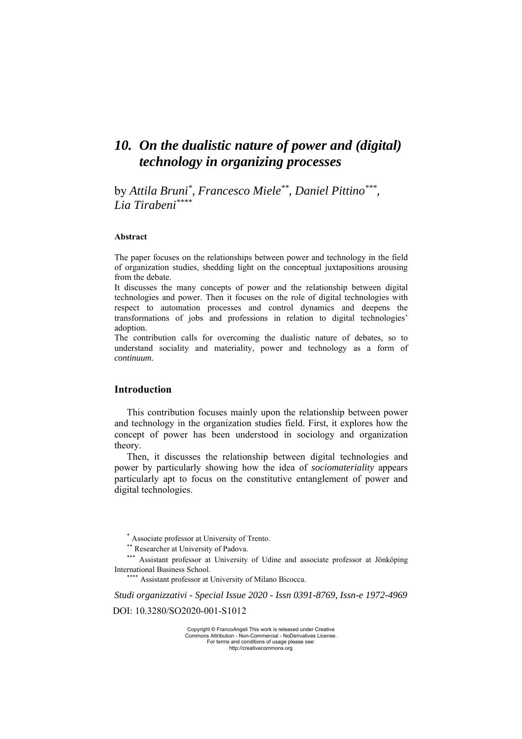# *10. On the dualistic nature of power and (digital) technology in organizing processes*

by *Attila Bruni\* , Francesco Miele\*\*, Daniel Pittino\*\*\*, Lia Tirabeni\*\*\*\**

#### **Abstract**

The paper focuses on the relationships between power and technology in the field of organization studies, shedding light on the conceptual juxtapositions arousing from the debate.

It discusses the many concepts of power and the relationship between digital technologies and power. Then it focuses on the role of digital technologies with respect to automation processes and control dynamics and deepens the transformations of jobs and professions in relation to digital technologies' adoption.

The contribution calls for overcoming the dualistic nature of debates, so to understand sociality and materiality, power and technology as a form of *continuum*.

## **Introduction**

This contribution focuses mainly upon the relationship between power and technology in the organization studies field. First, it explores how the concept of power has been understood in sociology and organization theory.

Then, it discusses the relationship between digital technologies and power by particularly showing how the idea of *sociomateriality* appears particularly apt to focus on the constitutive entanglement of power and digital technologies.

\* Associate professor at University of Trento.

\*\* Researcher at University of Padova.

\*\*\* Assistant professor at University of Udine and associate professor at Jönköping International Business School.

\*\*\*\*\* Assistant professor at University of Milano Bicocca.

*Studi organizzativi - Special Issue 2020 - Issn 0391-8769, Issn-e 1972-4969* DOI: 10.3280/SO2020-001-S1012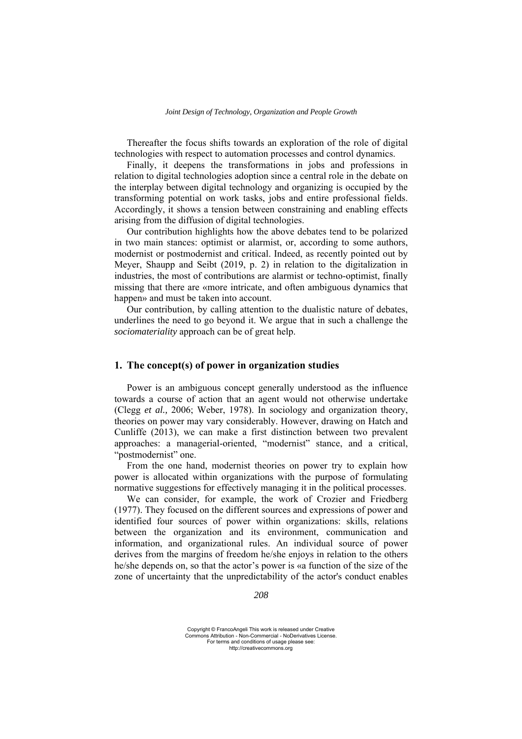Thereafter the focus shifts towards an exploration of the role of digital technologies with respect to automation processes and control dynamics.

Finally, it deepens the transformations in jobs and professions in relation to digital technologies adoption since a central role in the debate on the interplay between digital technology and organizing is occupied by the transforming potential on work tasks, jobs and entire professional fields. Accordingly, it shows a tension between constraining and enabling effects arising from the diffusion of digital technologies.

Our contribution highlights how the above debates tend to be polarized in two main stances: optimist or alarmist, or, according to some authors, modernist or postmodernist and critical. Indeed, as recently pointed out by Meyer, Shaupp and Seibt (2019, p. 2) in relation to the digitalization in industries, the most of contributions are alarmist or techno-optimist, finally missing that there are «more intricate, and often ambiguous dynamics that happen» and must be taken into account.

Our contribution, by calling attention to the dualistic nature of debates, underlines the need to go beyond it. We argue that in such a challenge the *sociomateriality* approach can be of great help.

### **1. The concept(s) of power in organization studies**

Power is an ambiguous concept generally understood as the influence towards a course of action that an agent would not otherwise undertake (Clegg *et al.,* 2006; Weber, 1978). In sociology and organization theory, theories on power may vary considerably. However, drawing on Hatch and Cunliffe (2013), we can make a first distinction between two prevalent approaches: a managerial-oriented, "modernist" stance, and a critical, "postmodernist" one.

From the one hand, modernist theories on power try to explain how power is allocated within organizations with the purpose of formulating normative suggestions for effectively managing it in the political processes.

We can consider, for example, the work of Crozier and Friedberg (1977). They focused on the different sources and expressions of power and identified four sources of power within organizations: skills, relations between the organization and its environment, communication and information, and organizational rules. An individual source of power derives from the margins of freedom he/she enjoys in relation to the others he/she depends on, so that the actor's power is «a function of the size of the zone of uncertainty that the unpredictability of the actor's conduct enables

*208*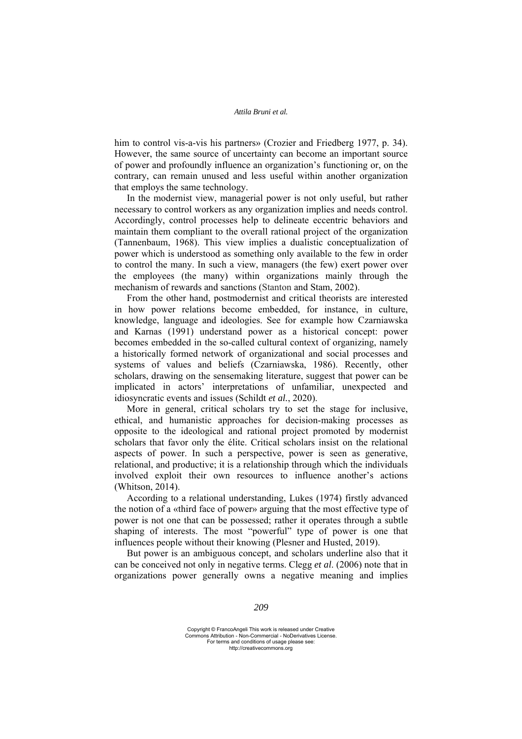him to control vis-a-vis his partners» (Crozier and Friedberg 1977, p. 34). However, the same source of uncertainty can become an important source of power and profoundly influence an organization's functioning or, on the contrary, can remain unused and less useful within another organization that employs the same technology.

In the modernist view, managerial power is not only useful, but rather necessary to control workers as any organization implies and needs control. Accordingly, control processes help to delineate eccentric behaviors and maintain them compliant to the overall rational project of the organization (Tannenbaum, 1968). This view implies a dualistic conceptualization of power which is understood as something only available to the few in order to control the many. In such a view, managers (the few) exert power over the employees (the many) within organizations mainly through the mechanism of rewards and sanctions (Stanton and Stam, 2002).

From the other hand, postmodernist and critical theorists are interested in how power relations become embedded, for instance, in culture, knowledge, language and ideologies. See for example how Czarniawska and Karnas (1991) understand power as a historical concept: power becomes embedded in the so-called cultural context of organizing, namely a historically formed network of organizational and social processes and systems of values and beliefs (Czarniawska, 1986). Recently, other scholars, drawing on the sensemaking literature, suggest that power can be implicated in actors' interpretations of unfamiliar, unexpected and idiosyncratic events and issues (Schildt *et al.*, 2020).

More in general, critical scholars try to set the stage for inclusive, ethical, and humanistic approaches for decision-making processes as opposite to the ideological and rational project promoted by modernist scholars that favor only the élite. Critical scholars insist on the relational aspects of power. In such a perspective, power is seen as generative, relational, and productive; it is a relationship through which the individuals involved exploit their own resources to influence another's actions (Whitson, 2014).

According to a relational understanding, Lukes (1974) firstly advanced the notion of a «third face of power» arguing that the most effective type of power is not one that can be possessed; rather it operates through a subtle shaping of interests. The most "powerful" type of power is one that influences people without their knowing (Plesner and Husted, 2019).

But power is an ambiguous concept, and scholars underline also that it can be conceived not only in negative terms. Clegg *et al*. (2006) note that in organizations power generally owns a negative meaning and implies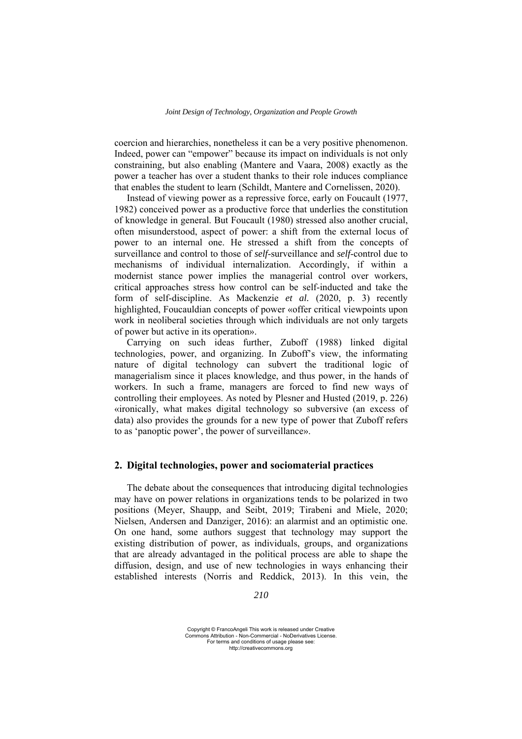coercion and hierarchies, nonetheless it can be a very positive phenomenon. Indeed, power can "empower" because its impact on individuals is not only constraining, but also enabling (Mantere and Vaara, 2008) exactly as the power a teacher has over a student thanks to their role induces compliance that enables the student to learn (Schildt, Mantere and Cornelissen, 2020).

Instead of viewing power as a repressive force, early on Foucault (1977, 1982) conceived power as a productive force that underlies the constitution of knowledge in general. But Foucault (1980) stressed also another crucial, often misunderstood, aspect of power: a shift from the external locus of power to an internal one. He stressed a shift from the concepts of surveillance and control to those of *self*-surveillance and *self*-control due to mechanisms of individual internalization. Accordingly, if within a modernist stance power implies the managerial control over workers, critical approaches stress how control can be self-inducted and take the form of self-discipline. As Mackenzie *et al.* (2020, p. 3) recently highlighted, Foucauldian concepts of power «offer critical viewpoints upon work in neoliberal societies through which individuals are not only targets of power but active in its operation».

Carrying on such ideas further, Zuboff (1988) linked digital technologies, power, and organizing. In Zuboff's view, the informating nature of digital technology can subvert the traditional logic of managerialism since it places knowledge, and thus power, in the hands of workers. In such a frame, managers are forced to find new ways of controlling their employees. As noted by Plesner and Husted (2019, p. 226) «ironically, what makes digital technology so subversive (an excess of data) also provides the grounds for a new type of power that Zuboff refers to as 'panoptic power', the power of surveillance».

# **2. Digital technologies, power and sociomaterial practices**

The debate about the consequences that introducing digital technologies may have on power relations in organizations tends to be polarized in two positions (Meyer, Shaupp, and Seibt, 2019; Tirabeni and Miele, 2020; Nielsen, Andersen and Danziger, 2016): an alarmist and an optimistic one. On one hand, some authors suggest that technology may support the existing distribution of power, as individuals, groups, and organizations that are already advantaged in the political process are able to shape the diffusion, design, and use of new technologies in ways enhancing their established interests (Norris and Reddick, 2013). In this vein, the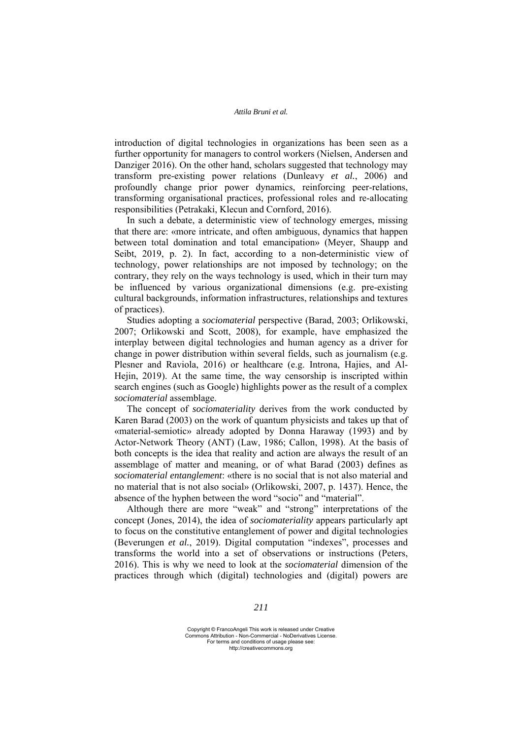introduction of digital technologies in organizations has been seen as a further opportunity for managers to control workers (Nielsen, Andersen and Danziger 2016). On the other hand, scholars suggested that technology may transform pre-existing power relations (Dunleavy *et al.*, 2006) and profoundly change prior power dynamics, reinforcing peer-relations, transforming organisational practices, professional roles and re-allocating responsibilities (Petrakaki, Klecun and Cornford, 2016).

In such a debate, a deterministic view of technology emerges, missing that there are: «more intricate, and often ambiguous, dynamics that happen between total domination and total emancipation» (Meyer, Shaupp and Seibt, 2019, p. 2). In fact, according to a non-deterministic view of technology, power relationships are not imposed by technology; on the contrary, they rely on the ways technology is used, which in their turn may be influenced by various organizational dimensions (e.g. pre-existing cultural backgrounds, information infrastructures, relationships and textures of practices).

Studies adopting a *sociomaterial* perspective (Barad, 2003; Orlikowski, 2007; Orlikowski and Scott, 2008), for example, have emphasized the interplay between digital technologies and human agency as a driver for change in power distribution within several fields, such as journalism (e.g. Plesner and Raviola, 2016) or healthcare (e.g. Introna, Hajies, and Al-Hejin, 2019). At the same time, the way censorship is inscripted within search engines (such as Google) highlights power as the result of a complex *sociomaterial* assemblage.

The concept of *sociomateriality* derives from the work conducted by Karen Barad (2003) on the work of quantum physicists and takes up that of «material-semiotic» already adopted by Donna Haraway (1993) and by Actor-Network Theory (ANT) (Law, 1986; Callon, 1998). At the basis of both concepts is the idea that reality and action are always the result of an assemblage of matter and meaning, or of what Barad (2003) defines as *sociomaterial entanglement*: «there is no social that is not also material and no material that is not also social» (Orlikowski, 2007, p. 1437). Hence, the absence of the hyphen between the word "socio" and "material".

Although there are more "weak" and "strong" interpretations of the concept (Jones, 2014), the idea of *sociomateriality* appears particularly apt to focus on the constitutive entanglement of power and digital technologies (Beverungen *et al.*, 2019). Digital computation "indexes", processes and transforms the world into a set of observations or instructions (Peters, 2016). This is why we need to look at the *sociomaterial* dimension of the practices through which (digital) technologies and (digital) powers are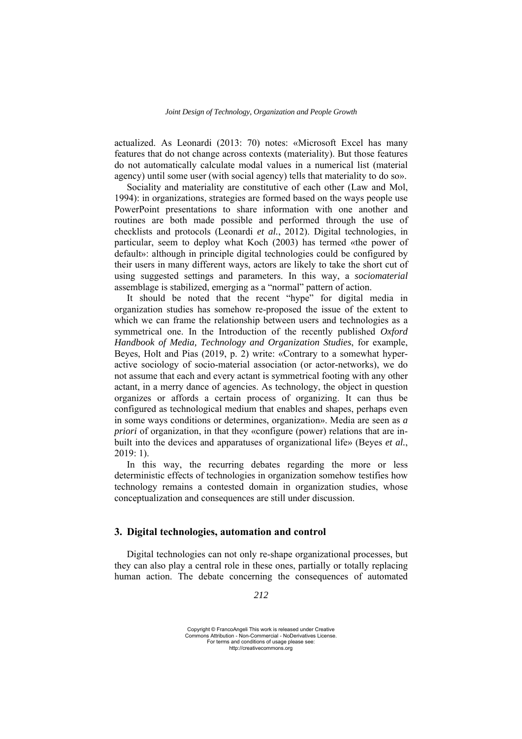actualized. As Leonardi (2013: 70) notes: «Microsoft Excel has many features that do not change across contexts (materiality). But those features do not automatically calculate modal values in a numerical list (material agency) until some user (with social agency) tells that materiality to do so».

Sociality and materiality are constitutive of each other (Law and Mol, 1994): in organizations, strategies are formed based on the ways people use PowerPoint presentations to share information with one another and routines are both made possible and performed through the use of checklists and protocols (Leonardi *et al.*, 2012). Digital technologies, in particular, seem to deploy what Koch (2003) has termed «the power of default»: although in principle digital technologies could be configured by their users in many different ways, actors are likely to take the short cut of using suggested settings and parameters. In this way, a *sociomaterial* assemblage is stabilized, emerging as a "normal" pattern of action.

It should be noted that the recent "hype" for digital media in organization studies has somehow re-proposed the issue of the extent to which we can frame the relationship between users and technologies as a symmetrical one. In the Introduction of the recently published *Oxford Handbook of Media, Technology and Organization Studies*, for example, Beyes, Holt and Pias (2019, p. 2) write: «Contrary to a somewhat hyperactive sociology of socio-material association (or actor-networks), we do not assume that each and every actant is symmetrical footing with any other actant, in a merry dance of agencies. As technology, the object in question organizes or affords a certain process of organizing. It can thus be configured as technological medium that enables and shapes, perhaps even in some ways conditions or determines, organization». Media are seen as *a priori* of organization, in that they «configure (power) relations that are inbuilt into the devices and apparatuses of organizational life» (Beyes *et al.*, 2019: 1).

In this way, the recurring debates regarding the more or less deterministic effects of technologies in organization somehow testifies how technology remains a contested domain in organization studies, whose conceptualization and consequences are still under discussion.

# **3. Digital technologies, automation and control**

Digital technologies can not only re-shape organizational processes, but they can also play a central role in these ones, partially or totally replacing human action. The debate concerning the consequences of automated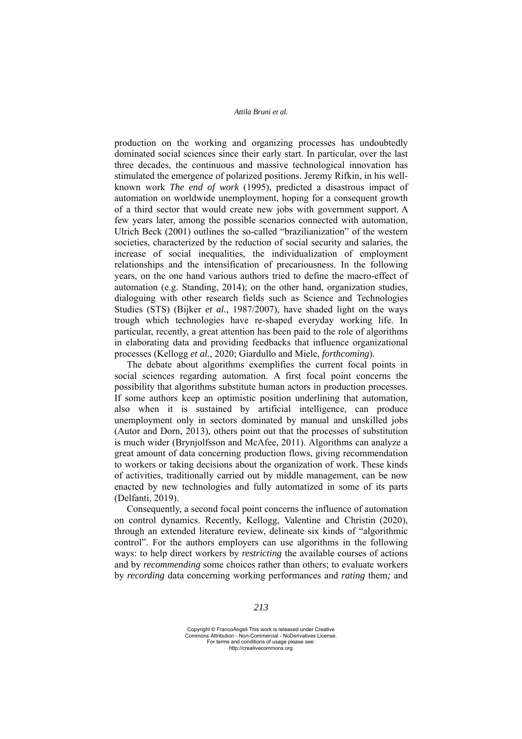production on the working and organizing processes has undoubtedly dominated social sciences since their early start. In particular, over the last three decades, the continuous and massive technological innovation has stimulated the emergence of polarized positions. Jeremy Rifkin, in his wellknown work *The end of work* (1995), predicted a disastrous impact of automation on worldwide unemployment, hoping for a consequent growth of a third sector that would create new jobs with government support. A few years later, among the possible scenarios connected with automation, Ulrich Beck (2001) outlines the so-called "brazilianization" of the western societies, characterized by the reduction of social security and salaries, the increase of social inequalities, the individualization of employment relationships and the intensification of precariousness. In the following years, on the one hand various authors tried to define the macro-effect of automation (e.g. Standing, 2014); on the other hand, organization studies, dialoguing with other research fields such as Science and Technologies Studies (STS) (Bijker *et al.,* 1987/2007), have shaded light on the ways trough which technologies have re-shaped everyday working life. In particular, recently, a great attention has been paid to the role of algorithms in elaborating data and providing feedbacks that influence organizational processes (Kellogg *et al.*, 2020; Giardullo and Miele, *forthcoming*).

The debate about algorithms exemplifies the current focal points in social sciences regarding automation. A first focal point concerns the possibility that algorithms substitute human actors in production processes. If some authors keep an optimistic position underlining that automation, also when it is sustained by artificial intelligence, can produce unemployment only in sectors dominated by manual and unskilled jobs (Autor and Dorn, 2013), others point out that the processes of substitution is much wider (Brynjolfsson and McAfee, 2011). Algorithms can analyze a great amount of data concerning production flows, giving recommendation to workers or taking decisions about the organization of work. These kinds of activities, traditionally carried out by middle management, can be now enacted by new technologies and fully automatized in some of its parts (Delfanti, 2019).

Consequently, a second focal point concerns the influence of automation on control dynamics. Recently, Kellogg, Valentine and Christin (2020), through an extended literature review, delineate six kinds of "algorithmic control". For the authors employers can use algorithms in the following ways: to help direct workers by *restricting* the available courses of actions and by *recommending* some choices rather than others; to evaluate workers by *recording* data concerning working performances and *rating* them*;* and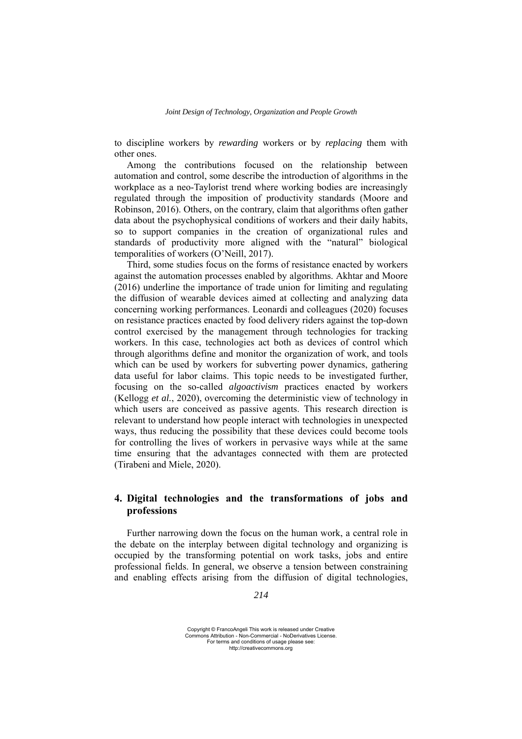to discipline workers by *rewarding* workers or by *replacing* them with other ones.

Among the contributions focused on the relationship between automation and control, some describe the introduction of algorithms in the workplace as a neo-Taylorist trend where working bodies are increasingly regulated through the imposition of productivity standards (Moore and Robinson, 2016). Others, on the contrary, claim that algorithms often gather data about the psychophysical conditions of workers and their daily habits, so to support companies in the creation of organizational rules and standards of productivity more aligned with the "natural" biological temporalities of workers (O'Neill, 2017).

Third, some studies focus on the forms of resistance enacted by workers against the automation processes enabled by algorithms. Akhtar and Moore (2016) underline the importance of trade union for limiting and regulating the diffusion of wearable devices aimed at collecting and analyzing data concerning working performances. Leonardi and colleagues (2020) focuses on resistance practices enacted by food delivery riders against the top-down control exercised by the management through technologies for tracking workers. In this case, technologies act both as devices of control which through algorithms define and monitor the organization of work, and tools which can be used by workers for subverting power dynamics, gathering data useful for labor claims. This topic needs to be investigated further, focusing on the so-called *algoactivism* practices enacted by workers (Kellogg *et al.*, 2020), overcoming the deterministic view of technology in which users are conceived as passive agents. This research direction is relevant to understand how people interact with technologies in unexpected ways, thus reducing the possibility that these devices could become tools for controlling the lives of workers in pervasive ways while at the same time ensuring that the advantages connected with them are protected (Tirabeni and Miele, 2020).

# **4. Digital technologies and the transformations of jobs and professions**

Further narrowing down the focus on the human work, a central role in the debate on the interplay between digital technology and organizing is occupied by the transforming potential on work tasks, jobs and entire professional fields. In general, we observe a tension between constraining and enabling effects arising from the diffusion of digital technologies,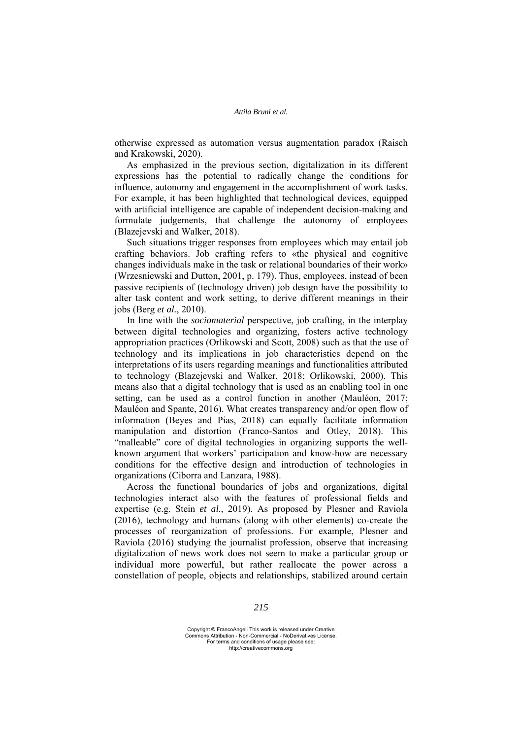otherwise expressed as automation versus augmentation paradox (Raisch and Krakowski, 2020).

As emphasized in the previous section, digitalization in its different expressions has the potential to radically change the conditions for influence, autonomy and engagement in the accomplishment of work tasks. For example, it has been highlighted that technological devices, equipped with artificial intelligence are capable of independent decision-making and formulate judgements, that challenge the autonomy of employees (Blazejevski and Walker, 2018).

Such situations trigger responses from employees which may entail job crafting behaviors. Job crafting refers to «the physical and cognitive changes individuals make in the task or relational boundaries of their work» (Wrzesniewski and Dutton, 2001, p. 179). Thus, employees, instead of been passive recipients of (technology driven) job design have the possibility to alter task content and work setting, to derive different meanings in their jobs (Berg *et al.*, 2010).

In line with the *sociomaterial* perspective, job crafting, in the interplay between digital technologies and organizing, fosters active technology appropriation practices (Orlikowski and Scott, 2008) such as that the use of technology and its implications in job characteristics depend on the interpretations of its users regarding meanings and functionalities attributed to technology (Blazejevski and Walker, 2018; Orlikowski, 2000). This means also that a digital technology that is used as an enabling tool in one setting, can be used as a control function in another (Mauléon, 2017; Mauléon and Spante, 2016). What creates transparency and/or open flow of information (Beyes and Pias, 2018) can equally facilitate information manipulation and distortion (Franco-Santos and Otley, 2018). This "malleable" core of digital technologies in organizing supports the wellknown argument that workers' participation and know-how are necessary conditions for the effective design and introduction of technologies in organizations (Ciborra and Lanzara, 1988).

Across the functional boundaries of jobs and organizations, digital technologies interact also with the features of professional fields and expertise (e.g. Stein *et al.*, 2019). As proposed by Plesner and Raviola (2016), technology and humans (along with other elements) co-create the processes of reorganization of professions. For example, Plesner and Raviola (2016) studying the journalist profession, observe that increasing digitalization of news work does not seem to make a particular group or individual more powerful, but rather reallocate the power across a constellation of people, objects and relationships, stabilized around certain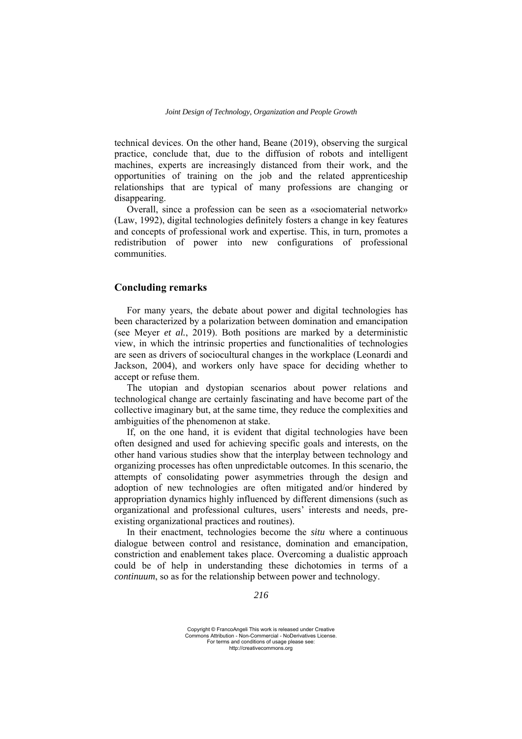technical devices. On the other hand, Beane (2019), observing the surgical practice, conclude that, due to the diffusion of robots and intelligent machines, experts are increasingly distanced from their work, and the opportunities of training on the job and the related apprenticeship relationships that are typical of many professions are changing or disappearing.

Overall, since a profession can be seen as a «sociomaterial network» (Law, 1992), digital technologies definitely fosters a change in key features and concepts of professional work and expertise. This, in turn, promotes a redistribution of power into new configurations of professional communities.

## **Concluding remarks**

For many years, the debate about power and digital technologies has been characterized by a polarization between domination and emancipation (see Meyer *et al.*, 2019). Both positions are marked by a deterministic view, in which the intrinsic properties and functionalities of technologies are seen as drivers of sociocultural changes in the workplace (Leonardi and Jackson, 2004), and workers only have space for deciding whether to accept or refuse them.

The utopian and dystopian scenarios about power relations and technological change are certainly fascinating and have become part of the collective imaginary but, at the same time, they reduce the complexities and ambiguities of the phenomenon at stake.

If, on the one hand, it is evident that digital technologies have been often designed and used for achieving specific goals and interests, on the other hand various studies show that the interplay between technology and organizing processes has often unpredictable outcomes. In this scenario, the attempts of consolidating power asymmetries through the design and adoption of new technologies are often mitigated and/or hindered by appropriation dynamics highly influenced by different dimensions (such as organizational and professional cultures, users' interests and needs, preexisting organizational practices and routines).

In their enactment, technologies become the *situ* where a continuous dialogue between control and resistance, domination and emancipation, constriction and enablement takes place. Overcoming a dualistic approach could be of help in understanding these dichotomies in terms of a *continuum*, so as for the relationship between power and technology.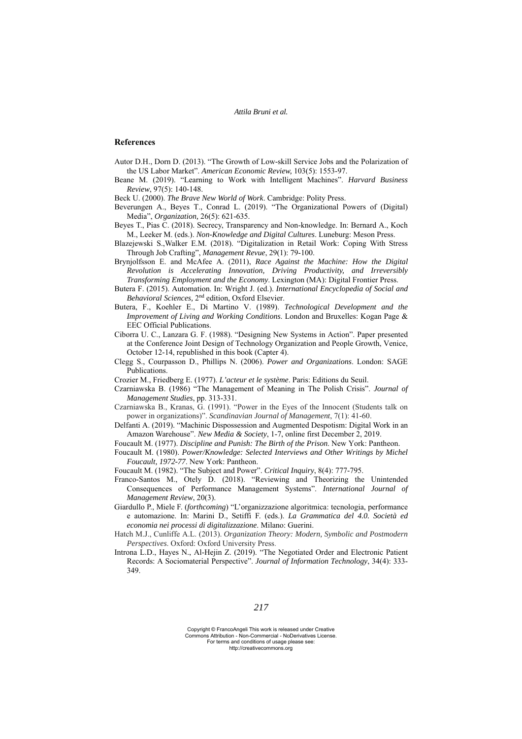#### **References**

- Autor D.H., Dorn D. (2013). "The Growth of Low-skill Service Jobs and the Polarization of the US Labor Market". *American Economic Review,* 103(5): 1553-97.
- Beane M. (2019). "Learning to Work with Intelligent Machines". *Harvard Business Review*, 97(5): 140-148.
- Beck U. (2000). *The Brave New World of Work*. Cambridge: Polity Press.
- Beverungen A., Beyes T., Conrad L. (2019). "The Organizational Powers of (Digital) Media", *Organization,* 26(5): 621-635.
- Beyes T., Pias C. (2018). Secrecy, Transparency and Non-knowledge. In: Bernard A., Koch M., Leeker M. (eds.). *Non-Knowledge and Digital Cultures*. Luneburg: Meson Press.
- Blazejewski S.,Walker E.M. (2018). "Digitalization in Retail Work: Coping With Stress Through Job Crafting", *Management Revue*, 29(1): 79-100.
- Brynjolfsson E. and McAfee A. (2011), *Race Against the Machine: How the Digital Revolution is Accelerating Innovation, Driving Productivity, and Irreversibly Transforming Employment and the Economy*. Lexington (MA): Digital Frontier Press.
- Butera F. (2015). Automation. In: Wright J. (ed.). *International Encyclopedia of Social and Behavioral Sciences,* 2nd edition, Oxford Elsevier.
- Butera, F., Koehler E., Di Martino V. (1989). *Technological Development and the Improvement of Living and Working Conditions*. London and Bruxelles: Kogan Page & EEC Official Publications.
- Ciborra U. C., Lanzara G. F. (1988). "Designing New Systems in Action". Paper presented at the Conference Joint Design of Technology Organization and People Growth, Venice, October 12-14, republished in this book (Capter 4).
- Clegg S., Courpasson D., Phillips N. (2006). *Power and Organizations*. London: SAGE Publications.
- Crozier M., Friedberg E. (1977). *L'acteur et le système*. Paris: Editions du Seuil.
- Czarniawska B. (1986) "The Management of Meaning in The Polish Crisis". *Journal of Management Studies*, pp. 313-331.
- Czarniawska B., Kranas, G. (1991). "Power in the Eyes of the Innocent (Students talk on power in organizations)". *Scandinavian Journal of Management*, 7(1): 41-60.
- Delfanti A. (2019). "Machinic Dispossession and Augmented Despotism: Digital Work in an Amazon Warehouse". *New Media & Society*, 1-7, online first December 2, 2019.
- Foucault M. (1977). *Discipline and Punish: The Birth of the Prison*. New York: Pantheon.
- Foucault M. (1980). *Power/Knowledge: Selected Interviews and Other Writings by Michel Foucault, 1972-77*. New York: Pantheon.
- Foucault M. (1982). "The Subject and Power". *Critical Inquiry*, 8(4): 777-795.
- Franco-Santos M., Otely D. (2018). "Reviewing and Theorizing the Unintended Consequences of Performance Management Systems". *International Journal of Management Review*, 20(3).
- Giardullo P., Miele F. (*forthcoming*) "L'organizzazione algoritmica: tecnologia, performance e automazione. In: Marini D., Setiffi F. (eds.). *La Grammatica del 4.0. Società ed economia nei processi di digitalizzazione*. Milano: Guerini.
- Hatch M.J., Cunliffe A.L. (2013). *Organization Theory: Modern, Symbolic and Postmodern Perspectives*. Oxford: Oxford University Press.
- Introna L.D., Hayes N., Al-Hejin Z. (2019). "The Negotiated Order and Electronic Patient Records: A Sociomaterial Perspective". *Journal of Information Technology*, 34(4): 333- 349.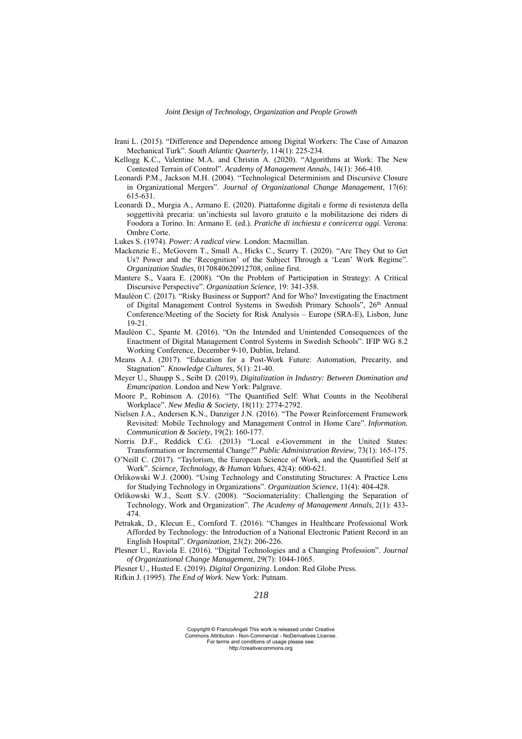- Irani L. (2015). "Difference and Dependence among Digital Workers: The Case of Amazon Mechanical Turk". *South Atlantic Quarterly*, 114(1): 225-234.
- Kellogg K.C., Valentine M.A. and Christin A. (2020). "Algorithms at Work: The New Contested Terrain of Control". *Academy of Management Annal*s, 14(1): 366-410.
- Leonardi P.M., Jackson M.H. (2004). "Technological Determinism and Discursive Closure in Organizational Mergers". *Journal of Organizational Change Management*, 17(6): 615-631.
- Leonardi D., Murgia A., Armano E. (2020). Piattaforme digitali e forme di resistenza della soggettività precaria: un'inchiesta sul lavoro gratuito e la mobilitazione dei riders di Foodora a Torino. In: Armano E. (ed.). *Pratiche di inchiesta e conricerca oggi*. Verona: Ombre Corte.
- Lukes S. (1974). *Power: A radical view*. London: Macmillan.
- Mackenzie E., McGovern T., Small A., Hicks C., Scurry T. (2020). "Are They Out to Get Us? Power and the 'Recognition' of the Subject Through a 'Lean' Work Regime". *Organization Studies*, 0170840620912708, online first.
- Mantere S., Vaara E. (2008). "On the Problem of Participation in Strategy: A Critical Discursive Perspective". *Organization Science*, 19: 341-358.
- Mauléon C. (2017). "Risky Business or Support? And for Who? Investigating the Enactment of Digital Management Control Systems in Swedish Primary Schools", 26<sup>th</sup> Annual Conference/Meeting of the Society for Risk Analysis – Europe (SRA-E), Lisbon, June 19-21.
- Mauléon C., Spante M. (2016). "On the Intended and Unintended Consequences of the Enactment of Digital Management Control Systems in Swedish Schools". IFIP WG 8.2 Working Conference, December 9-10, Dublin, Ireland.
- Means A.J. (2017). "Education for a Post-Work Future: Automation, Precarity, and Stagnation". *Knowledge Cultures*, 5(1): 21-40.
- Meyer U., Shaupp S., Seibt D. (2019), *Digitalization in Industry: Between Domination and Emancipation*. London and New York: Palgrave.
- Moore P., Robinson A. (2016). "The Quantified Self: What Counts in the Neoliberal Workplace". *New Media & Society*, 18(11): 2774-2792.
- Nielsen J.A., Andersen K.N., Danziger J.N. (2016). "The Power Reinforcement Framework Revisited: Mobile Technology and Management Control in Home Care". *Information. Communication & Society*, 19(2): 160-177.
- Norris D.F., Reddick C.G. (2013) "Local e-Government in the United States: Transformation or Incremental Change?" *Public Administration Review,* 73(1): 165-175.
- O'Neill C. (2017). "Taylorism, the European Science of Work, and the Quantified Self at Work". *Science, Technology, & Human Values*, 42(4): 600-621.
- Orlikowski W.J. (2000). "Using Technology and Constituting Structures: A Practice Lens for Studying Technology in Organizations". *Organization Science*, 11(4): 404-428.
- Orlikowski W.J., Scott S.V. (2008). "Sociomateriality: Challenging the Separation of Technology, Work and Organization". *The Academy of Management Annals*, 2(1): 433- 474.
- Petrakak, D., Klecun E., Cornford T. (2016). "Changes in Healthcare Professional Work Afforded by Technology: the Introduction of a National Electronic Patient Record in an English Hospital". *Organization*, 23(2): 206-226.
- Plesner U., Raviola E. (2016). "Digital Technologies and a Changing Profession". *Journal of Organizational Change Management*, 29(7): 1044-1065.
- Plesner U., Husted E. (2019). *Digital Organizing*. London: Red Globe Press.
- Rifkin J. (1995). *The End of Work*. New York: Putnam.

*218*